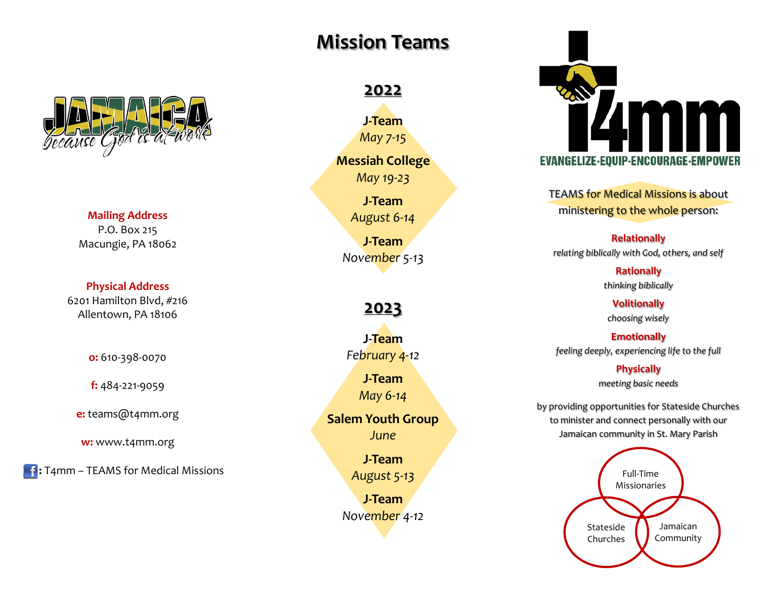

**Mailing Address** P.O. Box 215 Macungie, PA 18062

#### **Physical Address**

6201 Hamilton Blvd, #216 Allentown, PA 18106

**o:** 610-398-0070

**f:** 484-221-9059

**e:** teams@t4mm.org

**w:** www.t4mm.org

**f**: T4mm – TEAMS for Medical Missions

# **Mission Teams**

## **2022**

**J-Team** *May 7-15*

**Messiah College**

*May 19-23*

**J-Team** *August 6-14*

**J-Team** *November 5-13*

**2023**

**J-Team** *February 4-12*

> **J-Team** *May 6-14*

**Salem Youth Group** *June*

> **J-Team** *August 5-13*

**J-Team** *November 4-12*



TEAMS for Medical Missions is about ministering to the whole person:

**Relationally** *relating biblically with God, others, and self*

> **Rationally** *thinking biblically*

**Volitionally** *choosing wisely*

**Emotionally** *feeling deeply, experiencing life to the full*

> **Physically** *meeting basic needs*

by providing opportunities for Stateside Churches to minister and connect personally with our Jamaican community in St. Mary Parish